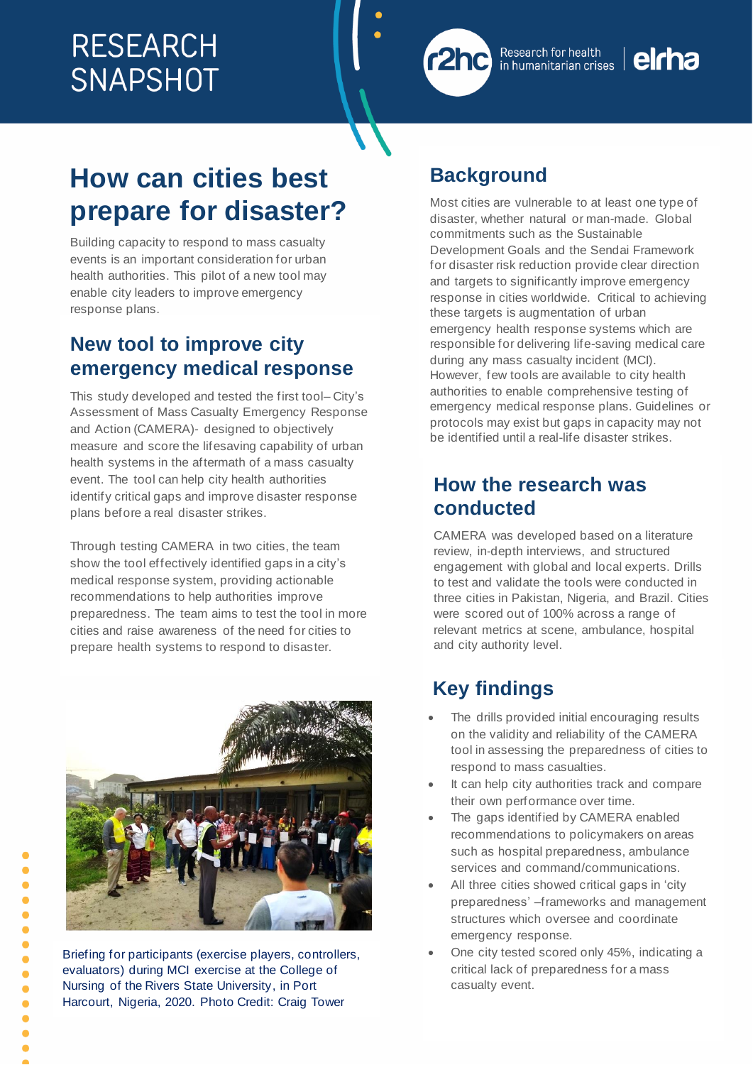

#### Research for health in humanitarian crises

# elcha

# **How can cities best prepare for disaster?**

Building capacity to respond to mass casualty events is an important consideration for urban health authorities. This pilot of a new tool may enable city leaders to improve emergency response plans.

# **New tool to improve city emergency medical response**

This study developed and tested the first tool– City's Assessment of Mass Casualty Emergency Response and Action (CAMERA)- designed to objectively measure and score the lifesaving capability of urban health systems in the aftermath of a mass casualty event. The tool can help city health authorities identify critical gaps and improve disaster response plans before a real disaster strikes.

Through testing CAMERA in two cities, the team show the tool effectively identified gaps in a city's medical response system, providing actionable recommendations to help authorities improve preparedness. The team aims to test the tool in more cities and raise awareness of the need for cities to prepare health systems to respond to disaster.



Briefing for participants (exercise players, controllers, evaluators) during MCI exercise at the College of Nursing of the Rivers State University, in Port Harcourt, Nigeria, 2020. Photo Credit: Craig Tower

# **Background**

Most cities are vulnerable to at least one type of disaster, whether natural or man-made. Global commitments such as the Sustainable Development Goals and the Sendai Framework for disaster risk reduction provide clear direction and targets to significantly improve emergency response in cities worldwide. Critical to achieving these targets is augmentation of urban emergency health response systems which are responsible for delivering life-saving medical care during any mass casualty incident (MCI). However, few tools are available to city health authorities to enable comprehensive testing of emergency medical response plans. Guidelines or protocols may exist but gaps in capacity may not be identified until a real-life disaster strikes.

# **How the research was conducted**

CAMERA was developed based on a literature review, in-depth interviews, and structured engagement with global and local experts. Drills to test and validate the tools were conducted in three cities in Pakistan, Nigeria, and Brazil. Cities were scored out of 100% across a range of relevant metrics at scene, ambulance, hospital and city authority level.

# **Key findings**

- The drills provided initial encouraging results on the validity and reliability of the CAMERA tool in assessing the preparedness of cities to respond to mass casualties.
- It can help city authorities track and compare their own performance over time.
- The gaps identified by CAMERA enabled recommendations to policymakers on areas such as hospital preparedness, ambulance services and command/communications.
- All three cities showed critical gaps in 'city preparedness' –frameworks and management structures which oversee and coordinate emergency response.
- One city tested scored only 45%, indicating a critical lack of preparedness for a mass casualty event.